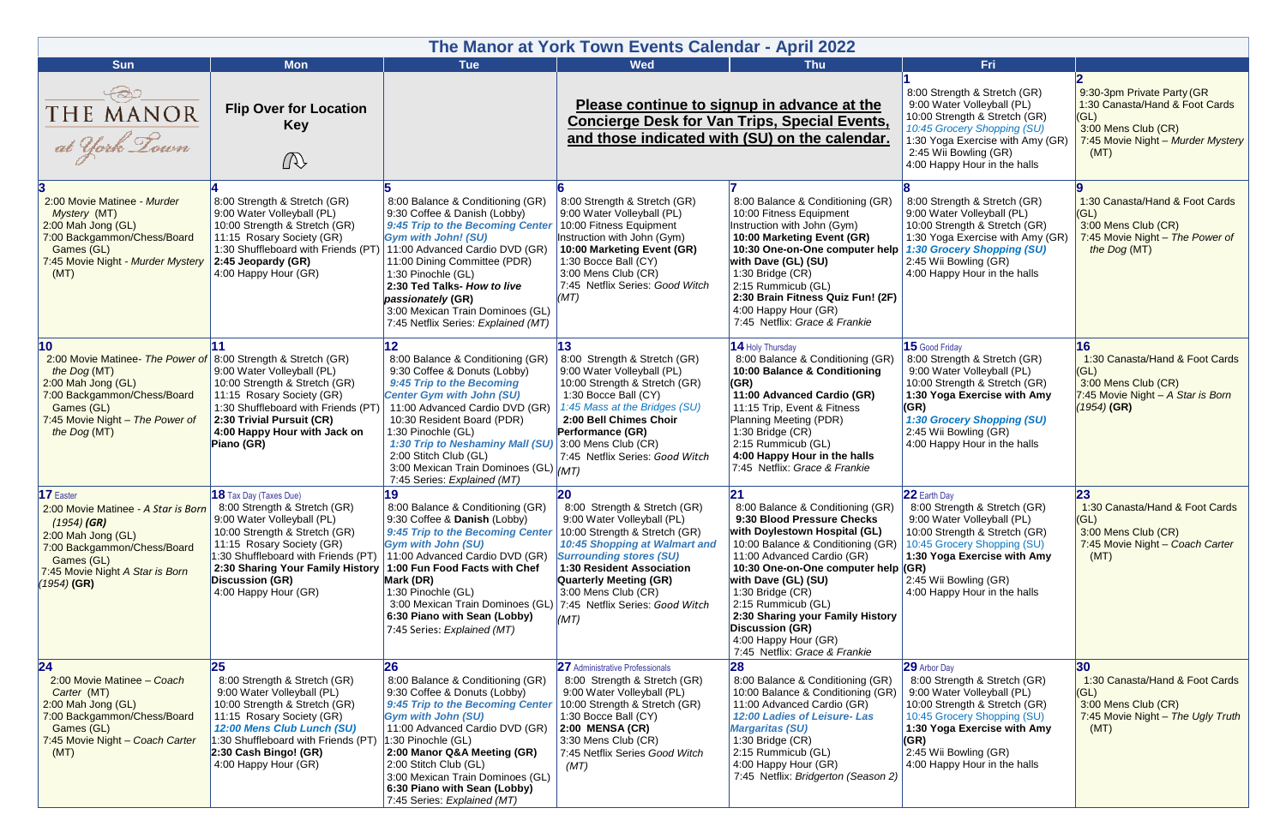| The Manor at York Town Events Calendar - April 2022                                                                                                                                                                     |                                                                                                                                                                                                                                                                               |                                                                                                                                                                                                                                                                                                                                                              |                                                                                                                                                                                                                                                                      |                                                                                                                                                                                                                                                                                                                                                                                            |                                                                                                                                                                                                                                                    |                                                                                                                                          |
|-------------------------------------------------------------------------------------------------------------------------------------------------------------------------------------------------------------------------|-------------------------------------------------------------------------------------------------------------------------------------------------------------------------------------------------------------------------------------------------------------------------------|--------------------------------------------------------------------------------------------------------------------------------------------------------------------------------------------------------------------------------------------------------------------------------------------------------------------------------------------------------------|----------------------------------------------------------------------------------------------------------------------------------------------------------------------------------------------------------------------------------------------------------------------|--------------------------------------------------------------------------------------------------------------------------------------------------------------------------------------------------------------------------------------------------------------------------------------------------------------------------------------------------------------------------------------------|----------------------------------------------------------------------------------------------------------------------------------------------------------------------------------------------------------------------------------------------------|------------------------------------------------------------------------------------------------------------------------------------------|
| <b>Sun</b>                                                                                                                                                                                                              | <b>Mon</b>                                                                                                                                                                                                                                                                    | <b>Tue</b>                                                                                                                                                                                                                                                                                                                                                   | <b>Wed</b>                                                                                                                                                                                                                                                           | <b>Thu</b>                                                                                                                                                                                                                                                                                                                                                                                 | Fri                                                                                                                                                                                                                                                |                                                                                                                                          |
| THE MANOR<br>at York Lown                                                                                                                                                                                               | <b>Flip Over for Location</b><br><b>Key</b><br>$\mathbb{Q}$                                                                                                                                                                                                                   |                                                                                                                                                                                                                                                                                                                                                              | Please continue to signup in advance at the<br><b>Concierge Desk for Van Trips, Special Events,</b><br>and those indicated with (SU) on the calendar.                                                                                                                |                                                                                                                                                                                                                                                                                                                                                                                            | 8:00 Strength & Stretch (GR)<br>9:00 Water Volleyball (PL)<br>10:00 Strength & Stretch (GR)<br>10:45 Grocery Shopping (SU)<br>1:30 Yoga Exercise with Amy (GR)<br>2:45 Wii Bowling (GR)<br>4:00 Happy Hour in the halls                            | 9:30-3pm Private Party (GR<br>1:30 Canasta/Hand & Foot Cards<br>(GL)<br>3:00 Mens Club (CR)<br>7:45 Movie Night - Murder Mystery<br>(MT) |
| 2:00 Movie Matinee - Murder<br>Mystery (MT)<br>2:00 Mah Jong (GL)<br>7:00 Backgammon/Chess/Board<br>Games (GL)<br>7:45 Movie Night - Murder Mystery<br>(MT)                                                             | 8:00 Strength & Stretch (GR)<br>9:00 Water Volleyball (PL)<br>10:00 Strength & Stretch (GR)<br>11:15 Rosary Society (GR)<br>1:30 Shuffleboard with Friends (PT)<br>$2:45$ Jeopardy (GR)<br>4:00 Happy Hour (GR)                                                               | 8:00 Balance & Conditioning (GR)<br>9:30 Coffee & Danish (Lobby)<br>9:45 Trip to the Becoming Center<br><b>Gym with John! (SU)</b><br>11:00 Advanced Cardio DVD (GR)<br>11:00 Dining Committee (PDR)<br>1:30 Pinochle (GL)<br>2:30 Ted Talks- How to live<br>passionately (GR)<br>3:00 Mexican Train Dominoes (GL)<br>7:45 Netflix Series: Explained (MT)    | 8:00 Strength & Stretch (GR)<br>9:00 Water Volleyball (PL)<br>10:00 Fitness Equipment<br>Instruction with John (Gym)<br>10:00 Marketing Event (GR)<br>1:30 Bocce Ball (CY)<br>3:00 Mens Club (CR)<br>7:45 Netflix Series: Good Witch<br>(MT)                         | 8:00 Balance & Conditioning (GR)<br>10:00 Fitness Equipment<br>Instruction with John (Gym)<br>10:00 Marketing Event (GR)<br>10:30 One-on-One computer help<br>with Dave (GL) (SU)<br>1:30 Bridge (CR)<br>2:15 Rummicub (GL)<br>2:30 Brain Fitness Quiz Fun! (2F)<br>4:00 Happy Hour (GR)<br>7:45 Netflix: Grace & Frankie                                                                  | 8:00 Strength & Stretch (GR)<br>9:00 Water Volleyball (PL)<br>10:00 Strength & Stretch (GR)<br>1:30 Yoga Exercise with Amy (GR)<br>1:30 Grocery Shopping (SU)<br>2:45 Wii Bowling (GR)<br>4:00 Happy Hour in the halls                             | 1:30 Canasta/Hand & Foot Cards<br>(GL)<br>3:00 Mens Club (CR)<br>7:45 Movie Night - The Power of<br>the Dog (MT)                         |
| $\overline{10}$<br>2:00 Movie Matinee- The Power of 8:00 Strength & Stretch (GR)<br>the Dog (MT)<br>2:00 Mah Jong (GL)<br>7:00 Backgammon/Chess/Board<br>Games (GL)<br>7:45 Movie Night - The Power of<br>the Dog (MT)  | 9:00 Water Volleyball (PL)<br>10:00 Strength & Stretch (GR)<br>11:15 Rosary Society (GR)<br>1:30 Shuffleboard with Friends (PT)<br>2:30 Trivial Pursuit (CR)<br>4:00 Happy Hour with Jack on<br>Piano (GR)                                                                    | 8:00 Balance & Conditioning (GR)<br>9:30 Coffee & Donuts (Lobby)<br>9:45 Trip to the Becoming<br><b>Center Gym with John (SU)</b><br>11:00 Advanced Cardio DVD (GR)<br>10:30 Resident Board (PDR)<br>1:30 Pinochle (GL)<br>1:30 Trip to Neshaminy Mall (SU)<br>2:00 Stitch Club (GL)<br>3:00 Mexican Train Dominoes (GL) (MT)<br>7:45 Series: Explained (MT) | 13<br>8:00 Strength & Stretch (GR)<br>9:00 Water Volleyball (PL)<br>10:00 Strength & Stretch (GR)<br>1:30 Bocce Ball (CY)<br>1:45 Mass at the Bridges (SU)<br>2:00 Bell Chimes Choir<br>Performance (GR)<br>$3:00$ Mens Club (CR)<br>7:45 Netflix Series: Good Witch | 14 Holy Thursday<br>8:00 Balance & Conditioning (GR)<br>10:00 Balance & Conditioning<br>(GR)<br>11:00 Advanced Cardio (GR)<br>11:15 Trip, Event & Fitness<br>Planning Meeting (PDR)<br>1:30 Bridge (CR)<br>2:15 Rummicub (GL)<br>4:00 Happy Hour in the halls<br>7:45 Netflix: Grace & Frankie                                                                                             | 15 Good Friday<br>8:00 Strength & Stretch (GR)<br>9:00 Water Volleyball (PL)<br>10:00 Strength & Stretch (GR)<br>1:30 Yoga Exercise with Amy<br>(GR)<br><b>1:30 Grocery Shopping (SU)</b><br>2:45 Wii Bowling (GR)<br>4:00 Happy Hour in the halls | 16<br>1:30 Canasta/Hand & Foot Cards<br>(GL)<br>3:00 Mens Club (CR)<br>7:45 Movie Night - A Star is Born<br>(1954) (GR)                  |
| 17 Easter<br>2:00 Movie Matinee - A Star is Born   8:00 Strength & Stretch (GR)<br>$(1954)$ (GR)<br>2:00 Mah Jong (GL)<br>7:00 Backgammon/Chess/Board<br>Games (GL)<br>7:45 Movie Night A Star is Born<br>$(1954)$ (GR) | <b>18</b> Tax Day (Taxes Due)<br>9:00 Water Volleyball (PL)<br>10:00 Strength & Stretch (GR)<br>11:15 Rosary Society (GR)<br>1:30 Shuffleboard with Friends (PT)<br>2:30 Sharing Your Family History 1:00 Fun Food Facts with Chef<br>Discussion (GR)<br>4:00 Happy Hour (GR) | 19<br>8:00 Balance & Conditioning (GR)<br>9:30 Coffee & Danish (Lobby)<br>9:45 Trip to the Becoming Center<br><b>Gym with John (SU)</b><br>11:00 Advanced Cardio DVD (GR)<br>Mark (DR)<br>1:30 Pinochle (GL)<br>3:00 Mexican Train Dominoes (GL) 7:45 Netflix Series: Good Witch<br>6:30 Piano with Sean (Lobby)<br>7:45 Series: Explained (MT)              | 20<br>8:00 Strength & Stretch (GR)<br>9:00 Water Volleyball (PL)<br>10:00 Strength & Stretch (GR)<br>10:45 Shopping at Walmart and<br><b>Surrounding stores (SU)</b><br>1:30 Resident Association<br><b>Quarterly Meeting (GR)</b><br>3:00 Mens Club (CR)<br>(MT)    | 8:00 Balance & Conditioning (GR)<br>9:30 Blood Pressure Checks<br>with Doylestown Hospital (GL)<br>10:00 Balance & Conditioning (GR)<br>11:00 Advanced Cardio (GR)<br>10:30 One-on-One computer help (GR)<br>with Dave (GL) (SU)<br>1:30 Bridge (CR)<br>2:15 Rummicub (GL)<br>2:30 Sharing your Family History<br>Discussion (GR)<br>4:00 Happy Hour (GR)<br>7:45 Netflix: Grace & Frankie | 22 Earth Day<br>8:00 Strength & Stretch (GR)<br>9:00 Water Volleyball (PL)<br>10:00 Strength & Stretch (GR)<br>10:45 Grocery Shopping (SU)<br>1:30 Yoga Exercise with Amy<br>2:45 Wii Bowling (GR)<br>4:00 Happy Hour in the halls                 | 23<br>1:30 Canasta/Hand & Foot Cards<br>(GL)<br>3:00 Mens Club (CR)<br>7:45 Movie Night - Coach Carter<br>(MT)                           |
| 24<br>2:00 Movie Matinee - Coach<br>Carter (MT)<br>2:00 Mah Jong (GL)<br>7:00 Backgammon/Chess/Board<br>Games (GL)<br>7:45 Movie Night - Coach Carter<br>(MT)                                                           | 8:00 Strength & Stretch (GR)<br>9:00 Water Volleyball (PL)<br>10:00 Strength & Stretch (GR)<br>11:15 Rosary Society (GR)<br>12:00 Mens Club Lunch (SU)<br>1:30 Shuffleboard with Friends (PT)<br>$2:30$ Cash Bingo! (GR)<br>4:00 Happy Hour (GR)                              | 26<br>8:00 Balance & Conditioning (GR)<br>9:30 Coffee & Donuts (Lobby)<br>9:45 Trip to the Becoming Center<br><b>Gym with John (SU)</b><br>11:00 Advanced Cardio DVD (GR)<br>$1:30$ Pinochle (GL)<br>2:00 Manor Q&A Meeting (GR)<br>2:00 Stitch Club (GL)<br>3:00 Mexican Train Dominoes (GL)<br>6:30 Piano with Sean (Lobby)<br>7:45 Series: Explained (MT) | <b>27</b> Administrative Professionals<br>8:00 Strength & Stretch (GR)<br>9:00 Water Volleyball (PL)<br>10:00 Strength & Stretch (GR)<br>1:30 Bocce Ball (CY)<br>$2:00$ MENSA (CR)<br>3:30 Mens Club (CR)<br>7:45 Netflix Series Good Witch<br>(MT)                  | 8:00 Balance & Conditioning (GR)<br>10:00 Balance & Conditioning (GR)<br>11:00 Advanced Cardio (GR)<br>12:00 Ladies of Leisure-Las<br><b>Margaritas (SU)</b><br>1:30 Bridge (CR)<br>2:15 Rummicub (GL)<br>4:00 Happy Hour (GR)<br>7:45 Netflix: Bridgerton (Season 2)                                                                                                                      | 29 Arbor Day<br>8:00 Strength & Stretch (GR)<br>9:00 Water Volleyball (PL)<br>10:00 Strength & Stretch (GR)<br>10:45 Grocery Shopping (SU)<br>1:30 Yoga Exercise with Amy<br>(GR)<br>2:45 Wii Bowling (GR)<br>4:00 Happy Hour in the halls         | 30<br>1:30 Canasta/Hand & Foot Cards<br>(GL)<br>3:00 Mens Club (CR)<br>7:45 Movie Night - The Ugly Truth<br>(MT)                         |